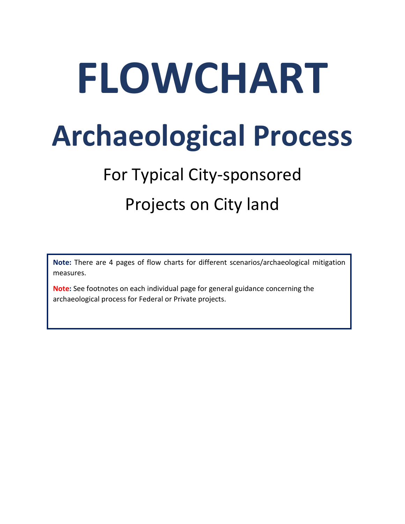# **FLOWCHART Archaeological Process**

## For Typical City-sponsored Projects on City land

**Note:** There are 4 pages of flow charts for different scenarios/archaeological mitigation measures.

**Note:** See footnotes on each individual page for general guidance concerning the archaeological process for Federal or Private projects.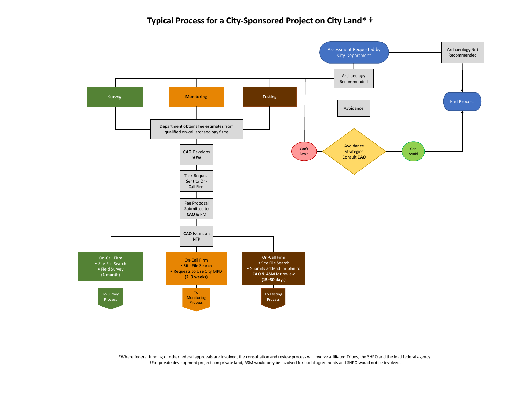#### **Typical Process for a City-Sponsored Project on City Land\* †**

\*Where federal funding or other federal approvals are involved, the consultation and review process will involve affiliated Tribes, the SHPO and the lead federal agency. †For private development projects on private land, ASM would only be involved for burial agreements and SHPO would not be involved.

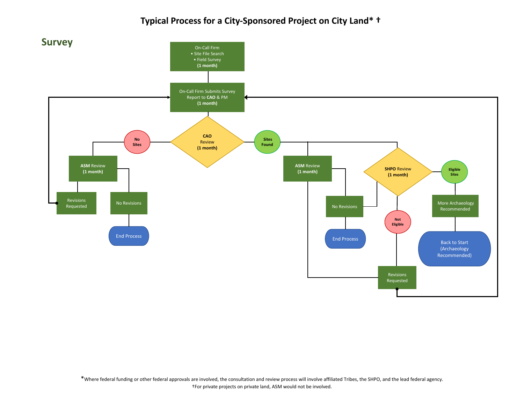### **Typical Process for a City-Sponsored Project on City Land\* †**

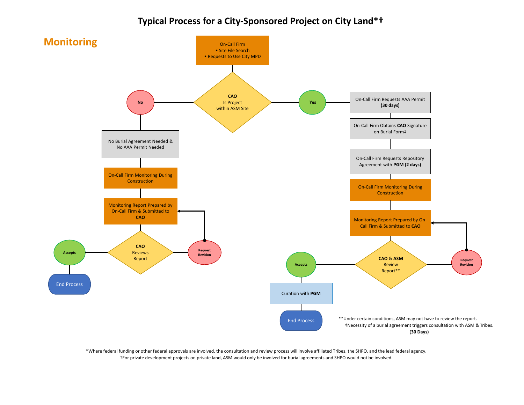#### **Typical Process for a City-Sponsored Project on City Land\*†**

\*Where federal funding or other federal approvals are involved, the consultation and review process will involve affiliated Tribes, the SHPO, and the lead federal agency. †For private development projects on private land, ASM would only be involved for burial agreements and SHPO would not be involved.